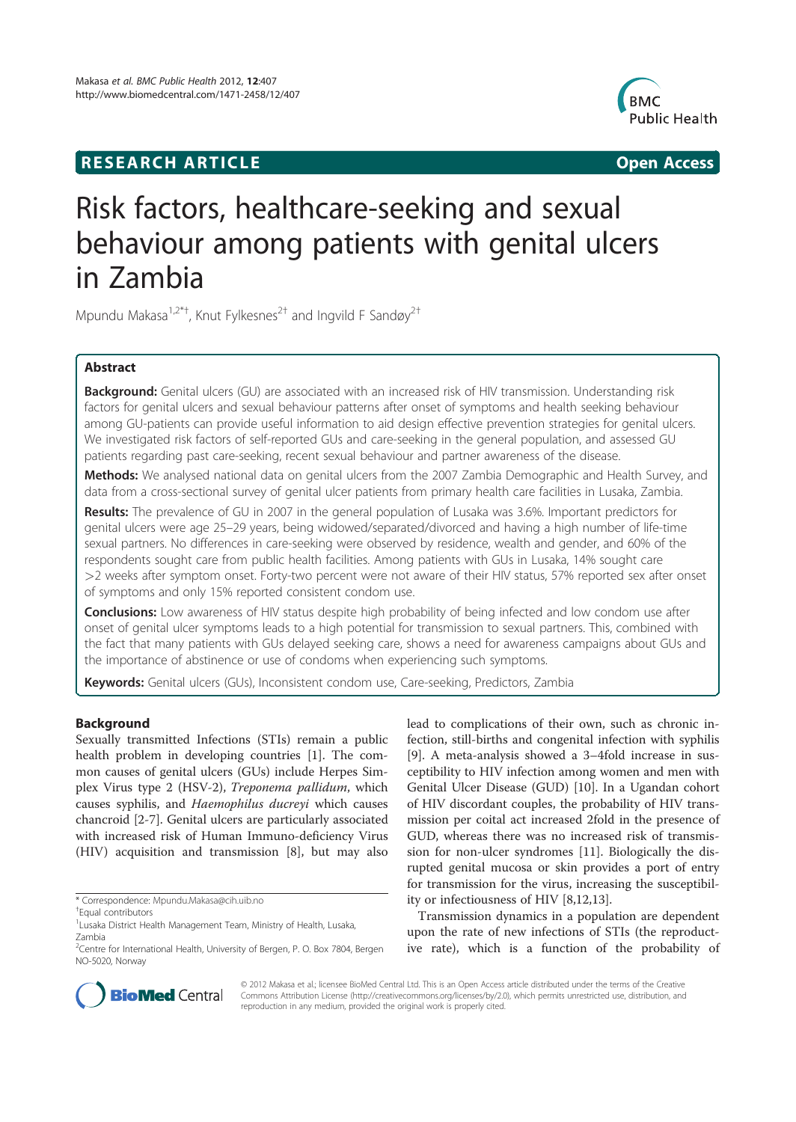# **RESEARCH ARTICLE Example 20 and 20 and 20 and 20 and 20 and 20 and 20 and 20 and 20 and 20 and 20 and 20 and 20 and 20 and 20 and 20 and 20 and 20 and 20 and 20 and 20 and 20 and 20 and 20 and 20 and 20 and 20 and 20 an**



# Risk factors, healthcare-seeking and sexual behaviour among patients with genital ulcers in Zambia

Mpundu Makasa<sup>1,2\*†</sup>, Knut Fylkesnes<sup>2†</sup> and Ingvild F Sandøy<sup>2†</sup>

# Abstract

Background: Genital ulcers (GU) are associated with an increased risk of HIV transmission. Understanding risk factors for genital ulcers and sexual behaviour patterns after onset of symptoms and health seeking behaviour among GU-patients can provide useful information to aid design effective prevention strategies for genital ulcers. We investigated risk factors of self-reported GUs and care-seeking in the general population, and assessed GU patients regarding past care-seeking, recent sexual behaviour and partner awareness of the disease.

Methods: We analysed national data on genital ulcers from the 2007 Zambia Demographic and Health Survey, and data from a cross-sectional survey of genital ulcer patients from primary health care facilities in Lusaka, Zambia.

Results: The prevalence of GU in 2007 in the general population of Lusaka was 3.6%. Important predictors for genital ulcers were age 25–29 years, being widowed/separated/divorced and having a high number of life-time sexual partners. No differences in care-seeking were observed by residence, wealth and gender, and 60% of the respondents sought care from public health facilities. Among patients with GUs in Lusaka, 14% sought care >2 weeks after symptom onset. Forty-two percent were not aware of their HIV status, 57% reported sex after onset of symptoms and only 15% reported consistent condom use.

Conclusions: Low awareness of HIV status despite high probability of being infected and low condom use after onset of genital ulcer symptoms leads to a high potential for transmission to sexual partners. This, combined with the fact that many patients with GUs delayed seeking care, shows a need for awareness campaigns about GUs and the importance of abstinence or use of condoms when experiencing such symptoms.

Keywords: Genital ulcers (GUs), Inconsistent condom use, Care-seeking, Predictors, Zambia

# **Background**

Sexually transmitted Infections (STIs) remain a public health problem in developing countries [1]. The common causes of genital ulcers (GUs) include Herpes Simplex Virus type 2 (HSV-2), Treponema pallidum, which causes syphilis, and Haemophilus ducreyi which causes chancroid [2-7]. Genital ulcers are particularly associated with increased risk of Human Immuno-deficiency Virus (HIV) acquisition and transmission [8], but may also lead to complications of their own, such as chronic infection, still-births and congenital infection with syphilis [9]. A meta-analysis showed a 3–4fold increase in susceptibility to HIV infection among women and men with Genital Ulcer Disease (GUD) [10]. In a Ugandan cohort of HIV discordant couples, the probability of HIV transmission per coital act increased 2fold in the presence of GUD, whereas there was no increased risk of transmission for non-ulcer syndromes [11]. Biologically the disrupted genital mucosa or skin provides a port of entry for transmission for the virus, increasing the susceptibility or infectiousness of HIV [8,12,13].

Transmission dynamics in a population are dependent upon the rate of new infections of STIs (the reproductive rate), which is a function of the probability of



© 2012 Makasa et al.; licensee BioMed Central Ltd. This is an Open Access article distributed under the terms of the Creative Commons Attribution License (http://creativecommons.org/licenses/by/2.0), which permits unrestricted use, distribution, and reproduction in any medium, provided the original work is properly cited.

<sup>\*</sup> Correspondence: Mpundu.Makasa@cih.uib.no †

Equal contributors

<sup>&</sup>lt;sup>1</sup> Lusaka District Health Management Team, Ministry of Health, Lusaka, Zambia

<sup>&</sup>lt;sup>2</sup>Centre for International Health, University of Bergen, P. O. Box 7804, Bergen NO-5020, Norway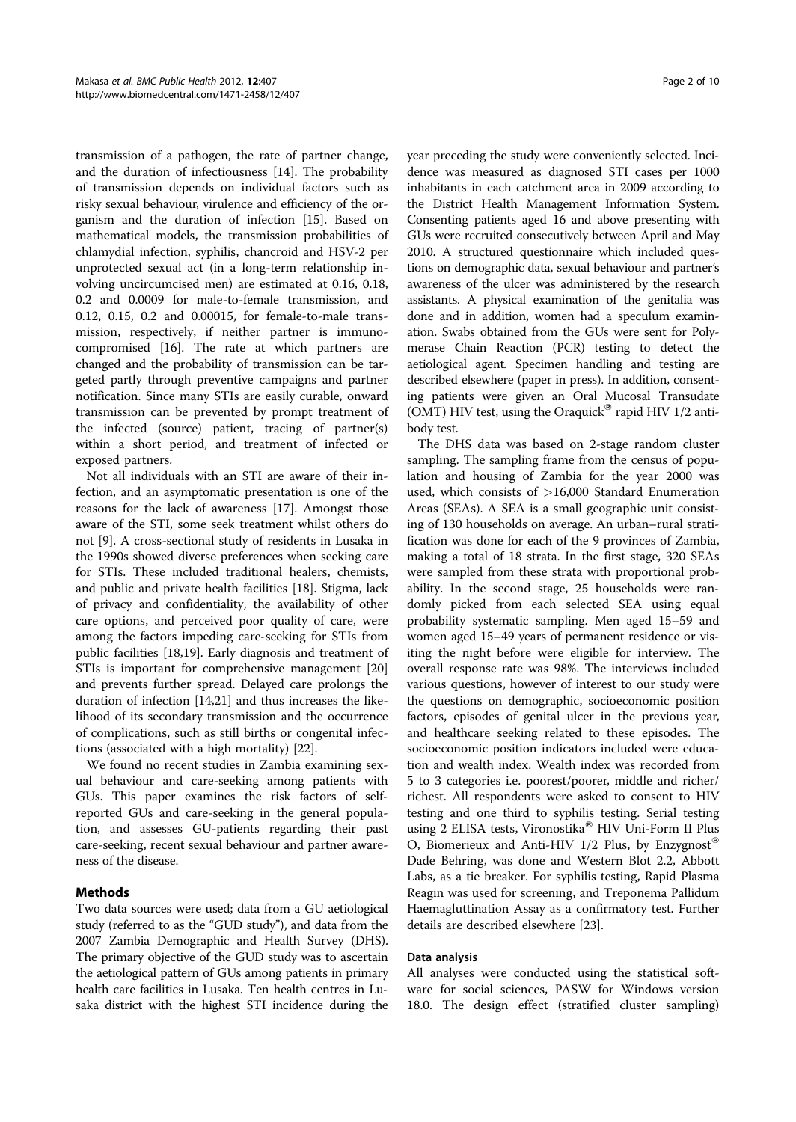transmission of a pathogen, the rate of partner change, and the duration of infectiousness [14]. The probability of transmission depends on individual factors such as risky sexual behaviour, virulence and efficiency of the organism and the duration of infection [15]. Based on mathematical models, the transmission probabilities of chlamydial infection, syphilis, chancroid and HSV-2 per unprotected sexual act (in a long-term relationship involving uncircumcised men) are estimated at 0.16, 0.18, 0.2 and 0.0009 for male-to-female transmission, and 0.12, 0.15, 0.2 and 0.00015, for female-to-male transmission, respectively, if neither partner is immunocompromised [16]. The rate at which partners are changed and the probability of transmission can be targeted partly through preventive campaigns and partner notification. Since many STIs are easily curable, onward transmission can be prevented by prompt treatment of the infected (source) patient, tracing of partner(s) within a short period, and treatment of infected or exposed partners.

Not all individuals with an STI are aware of their infection, and an asymptomatic presentation is one of the reasons for the lack of awareness [17]. Amongst those aware of the STI, some seek treatment whilst others do not [9]. A cross-sectional study of residents in Lusaka in the 1990s showed diverse preferences when seeking care for STIs. These included traditional healers, chemists, and public and private health facilities [18]. Stigma, lack of privacy and confidentiality, the availability of other care options, and perceived poor quality of care, were among the factors impeding care-seeking for STIs from public facilities [18,19]. Early diagnosis and treatment of STIs is important for comprehensive management [20] and prevents further spread. Delayed care prolongs the duration of infection [14,21] and thus increases the likelihood of its secondary transmission and the occurrence of complications, such as still births or congenital infections (associated with a high mortality) [22].

We found no recent studies in Zambia examining sexual behaviour and care-seeking among patients with GUs. This paper examines the risk factors of selfreported GUs and care-seeking in the general population, and assesses GU-patients regarding their past care-seeking, recent sexual behaviour and partner awareness of the disease.

## Methods

Two data sources were used; data from a GU aetiological study (referred to as the "GUD study"), and data from the 2007 Zambia Demographic and Health Survey (DHS). The primary objective of the GUD study was to ascertain the aetiological pattern of GUs among patients in primary health care facilities in Lusaka. Ten health centres in Lusaka district with the highest STI incidence during the

year preceding the study were conveniently selected. Incidence was measured as diagnosed STI cases per 1000 inhabitants in each catchment area in 2009 according to the District Health Management Information System. Consenting patients aged 16 and above presenting with GUs were recruited consecutively between April and May 2010. A structured questionnaire which included questions on demographic data, sexual behaviour and partner's awareness of the ulcer was administered by the research assistants. A physical examination of the genitalia was done and in addition, women had a speculum examination. Swabs obtained from the GUs were sent for Polymerase Chain Reaction (PCR) testing to detect the aetiological agent. Specimen handling and testing are described elsewhere (paper in press). In addition, consenting patients were given an Oral Mucosal Transudate (OMT) HIV test, using the Oraquick® rapid HIV  $1/2$  antibody test.

The DHS data was based on 2-stage random cluster sampling. The sampling frame from the census of population and housing of Zambia for the year 2000 was used, which consists of >16,000 Standard Enumeration Areas (SEAs). A SEA is a small geographic unit consisting of 130 households on average. An urban–rural stratification was done for each of the 9 provinces of Zambia, making a total of 18 strata. In the first stage, 320 SEAs were sampled from these strata with proportional probability. In the second stage, 25 households were randomly picked from each selected SEA using equal probability systematic sampling. Men aged 15–59 and women aged 15–49 years of permanent residence or visiting the night before were eligible for interview. The overall response rate was 98%. The interviews included various questions, however of interest to our study were the questions on demographic, socioeconomic position factors, episodes of genital ulcer in the previous year, and healthcare seeking related to these episodes. The socioeconomic position indicators included were education and wealth index. Wealth index was recorded from 5 to 3 categories i.e. poorest/poorer, middle and richer/ richest. All respondents were asked to consent to HIV testing and one third to syphilis testing. Serial testing using 2 ELISA tests, Vironostika<sup>®</sup> HIV Uni-Form II Plus O, Biomerieux and Anti-HIV 1/2 Plus, by Enzygnost<sup>®</sup> Dade Behring, was done and Western Blot 2.2, Abbott Labs, as a tie breaker. For syphilis testing, Rapid Plasma Reagin was used for screening, and Treponema Pallidum Haemagluttination Assay as a confirmatory test. Further details are described elsewhere [23].

## Data analysis

All analyses were conducted using the statistical software for social sciences, PASW for Windows version 18.0. The design effect (stratified cluster sampling)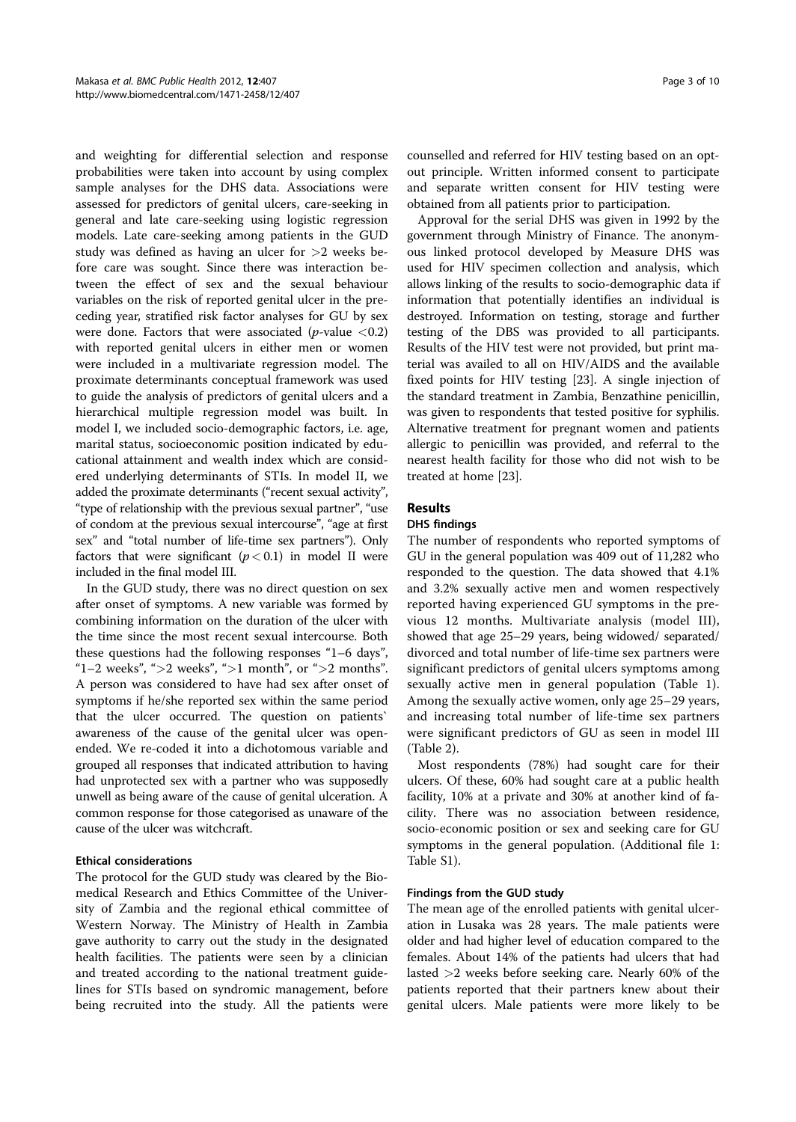and weighting for differential selection and response probabilities were taken into account by using complex sample analyses for the DHS data. Associations were assessed for predictors of genital ulcers, care-seeking in general and late care-seeking using logistic regression models. Late care-seeking among patients in the GUD study was defined as having an ulcer for >2 weeks before care was sought. Since there was interaction between the effect of sex and the sexual behaviour variables on the risk of reported genital ulcer in the preceding year, stratified risk factor analyses for GU by sex were done. Factors that were associated ( $p$ -value <0.2) with reported genital ulcers in either men or women were included in a multivariate regression model. The proximate determinants conceptual framework was used to guide the analysis of predictors of genital ulcers and a hierarchical multiple regression model was built. In model I, we included socio-demographic factors, i.e. age, marital status, socioeconomic position indicated by educational attainment and wealth index which are considered underlying determinants of STIs. In model II, we added the proximate determinants ("recent sexual activity", "type of relationship with the previous sexual partner", "use of condom at the previous sexual intercourse", "age at first sex" and "total number of life-time sex partners"). Only factors that were significant  $(p < 0.1)$  in model II were included in the final model III.

In the GUD study, there was no direct question on sex after onset of symptoms. A new variable was formed by combining information on the duration of the ulcer with the time since the most recent sexual intercourse. Both these questions had the following responses "1–6 days", "1–2 weeks", " $>$ 2 weeks", " $>$ 1 month", or " $>$ 2 months". A person was considered to have had sex after onset of symptoms if he/she reported sex within the same period that the ulcer occurred. The question on patients` awareness of the cause of the genital ulcer was openended. We re-coded it into a dichotomous variable and grouped all responses that indicated attribution to having had unprotected sex with a partner who was supposedly unwell as being aware of the cause of genital ulceration. A common response for those categorised as unaware of the cause of the ulcer was witchcraft.

## Ethical considerations

The protocol for the GUD study was cleared by the Biomedical Research and Ethics Committee of the University of Zambia and the regional ethical committee of Western Norway. The Ministry of Health in Zambia gave authority to carry out the study in the designated health facilities. The patients were seen by a clinician and treated according to the national treatment guidelines for STIs based on syndromic management, before being recruited into the study. All the patients were counselled and referred for HIV testing based on an optout principle. Written informed consent to participate and separate written consent for HIV testing were obtained from all patients prior to participation.

Approval for the serial DHS was given in 1992 by the government through Ministry of Finance. The anonymous linked protocol developed by Measure DHS was used for HIV specimen collection and analysis, which allows linking of the results to socio-demographic data if information that potentially identifies an individual is destroyed. Information on testing, storage and further testing of the DBS was provided to all participants. Results of the HIV test were not provided, but print material was availed to all on HIV/AIDS and the available fixed points for HIV testing [23]. A single injection of the standard treatment in Zambia, Benzathine penicillin, was given to respondents that tested positive for syphilis. Alternative treatment for pregnant women and patients allergic to penicillin was provided, and referral to the nearest health facility for those who did not wish to be treated at home [23].

## Results

# DHS findings

The number of respondents who reported symptoms of GU in the general population was 409 out of 11,282 who responded to the question. The data showed that 4.1% and 3.2% sexually active men and women respectively reported having experienced GU symptoms in the previous 12 months. Multivariate analysis (model III), showed that age 25–29 years, being widowed/ separated/ divorced and total number of life-time sex partners were significant predictors of genital ulcers symptoms among sexually active men in general population (Table 1). Among the sexually active women, only age 25–29 years, and increasing total number of life-time sex partners were significant predictors of GU as seen in model III (Table 2).

Most respondents (78%) had sought care for their ulcers. Of these, 60% had sought care at a public health facility, 10% at a private and 30% at another kind of facility. There was no association between residence, socio-economic position or sex and seeking care for GU symptoms in the general population. (Additional file 1: Table S1).

#### Findings from the GUD study

The mean age of the enrolled patients with genital ulceration in Lusaka was 28 years. The male patients were older and had higher level of education compared to the females. About 14% of the patients had ulcers that had lasted >2 weeks before seeking care. Nearly 60% of the patients reported that their partners knew about their genital ulcers. Male patients were more likely to be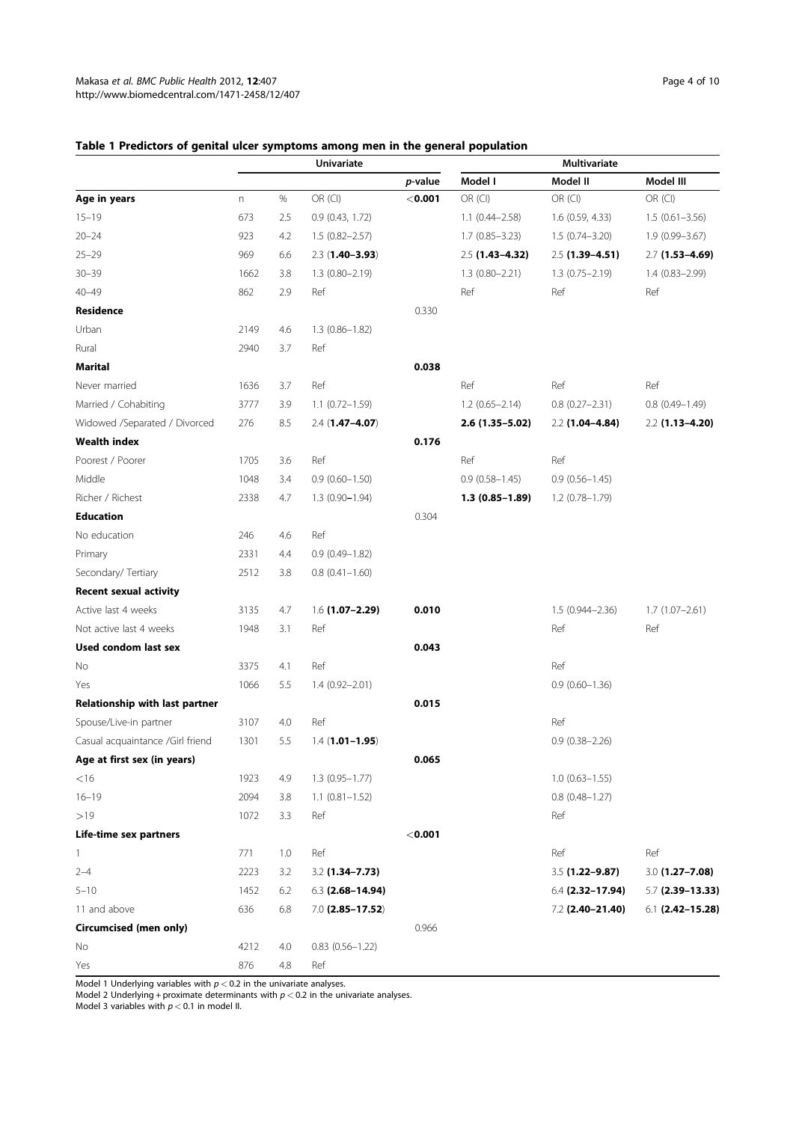# Table 1 Predictors of genital ulcer symptoms among men in the general population

|                                       | <b>Univariate</b> |      |                        | <b>Multivariate</b> |                    |                    |                       |
|---------------------------------------|-------------------|------|------------------------|---------------------|--------------------|--------------------|-----------------------|
|                                       |                   |      |                        | p-value             | Model I            | Model II           | Model III             |
| Age in years                          | $\mathsf{n}$      | $\%$ | OR (CI)                | $<$ 0.001           | OR (CI)            | OR (CI)            | OR (CI)               |
| $15 - 19$                             | 673               | 2.5  | 0.9 (0.43, 1.72)       |                     | $1.1(0.44 - 2.58)$ | 1.6 (0.59, 4.33)   | $1.5(0.61 - 3.56)$    |
| $20 - 24$                             | 923               | 4.2  | $1.5(0.82 - 2.57)$     |                     | $1.7(0.85 - 3.23)$ | $1.5(0.74 - 3.20)$ | 1.9 (0.99-3.67)       |
| $25 - 29$                             | 969               | 6.6  | $2.3(1.40 - 3.93)$     |                     | $2.5$ (1.43-4.32)  | 2.5 (1.39-4.51)    | 2.7 (1.53-4.69)       |
| $30 - 39$                             | 1662              | 3.8  | $1.3(0.80 - 2.19)$     |                     | $1.3(0.80 - 2.21)$ | $1.3(0.75 - 2.19)$ | $1.4(0.83 - 2.99)$    |
| $40 - 49$                             | 862               | 2.9  | Ref                    |                     | Ref                | Ref                | Ref                   |
| Residence                             |                   |      |                        | 0.330               |                    |                    |                       |
| Urban                                 | 2149              | 4.6  | 1.3 (0.86-1.82)        |                     |                    |                    |                       |
| Rural                                 | 2940              | 3.7  | Ref                    |                     |                    |                    |                       |
| Marital                               |                   |      |                        | 0.038               |                    |                    |                       |
| Never married                         | 1636              | 3.7  | Ref                    |                     | Ref                | Ref                | Ref                   |
| Married / Cohabiting                  | 3777              | 3.9  | 1.1 (0.72-1.59)        |                     | $1.2(0.65 - 2.14)$ | $0.8(0.27 - 2.31)$ | $0.8$ $(0.49 - 1.49)$ |
| Widowed /Separated / Divorced         | 276               | 8.5  | $2.4(1.47 - 4.07)$     |                     | 2.6 (1.35-5.02)    | $2.2$ (1.04-4.84)  | $2.2$ (1.13-4.20)     |
| <b>Wealth index</b>                   |                   |      |                        | 0.176               |                    |                    |                       |
| Poorest / Poorer                      | 1705              | 3.6  | Ref                    |                     | Ref                | Ref                |                       |
| Middle                                | 1048              | 3.4  | $0.9(0.60 - 1.50)$     |                     | $0.9(0.58 - 1.45)$ | $0.9(0.56 - 1.45)$ |                       |
| Richer / Richest                      | 2338              | 4.7  | 1.3 (0.90-1.94)        |                     | $1.3(0.85 - 1.89)$ | 1.2 (0.78-1.79)    |                       |
| <b>Education</b>                      |                   |      |                        | 0.304               |                    |                    |                       |
| No education                          | 246               | 4.6  | Ref                    |                     |                    |                    |                       |
| Primary                               | 2331              | 4.4  | $0.9(0.49 - 1.82)$     |                     |                    |                    |                       |
| Secondary/ Tertiary                   | 2512              | 3.8  | $0.8(0.41 - 1.60)$     |                     |                    |                    |                       |
| <b>Recent sexual activity</b>         |                   |      |                        |                     |                    |                    |                       |
| Active last 4 weeks                   | 3135              | 4.7  | 1.6 (1.07-2.29)        | 0.010               |                    | 1.5 (0.944-2.36)   | $1.7(1.07 - 2.61)$    |
| Not active last 4 weeks               | 1948              | 3.1  | Ref                    |                     |                    | Ref                | Ref                   |
| Used condom last sex                  |                   |      |                        | 0.043               |                    |                    |                       |
| No                                    | 3375              | 4.1  | Ref                    |                     |                    | Ref                |                       |
| Yes                                   | 1066              | 5.5  | 1.4 (0.92-2.01)        |                     |                    | $0.9(0.60 - 1.36)$ |                       |
| <b>Relationship with last partner</b> |                   |      |                        | 0.015               |                    |                    |                       |
| Spouse/Live-in partner                | 3107              | 4.0  | Ref                    |                     |                    | Ref                |                       |
| Casual acquaintance /Girl friend      | 1301              | 5.5  | $1.4(1.01 - 1.95)$     |                     |                    | $0.9(0.38 - 2.26)$ |                       |
| Age at first sex (in years)           |                   |      |                        | 0.065               |                    |                    |                       |
| $<$ 16                                | 1923              | 4.9  | $1.3(0.95 - 1.77)$     |                     |                    | $1.0(0.63 - 1.55)$ |                       |
| $16 - 19$                             | 2094              | 3.8  | $1.1 (0.81 - 1.52)$    |                     |                    | $0.8$ (0.48-1.27)  |                       |
| >19                                   | 1072              | 3.3  | Ref                    |                     |                    | Ref                |                       |
| Life-time sex partners                |                   |      |                        | $<$ 0.001           |                    |                    |                       |
| 1                                     | 771               | 1.0  | Ref                    |                     |                    | Ref                | Ref                   |
| $2 - 4$                               | 2223              | 3.2  | 3.2 (1.34-7.73)        |                     |                    | 3.5 (1.22-9.87)    | $3.0$ (1.27-7.08)     |
| $5 - 10$                              | 1452              | 6.2  | $6.3$ (2.68-14.94)     |                     |                    | 6.4 (2.32-17.94)   | $5.7$ (2.39-13.33)    |
| 11 and above                          | 636               | 6.8  | $7.0$ (2.85-17.52)     |                     |                    | 7.2 (2.40-21.40)   | 6.1 (2.42-15.28)      |
| Circumcised (men only)                |                   |      |                        | 0.966               |                    |                    |                       |
| No                                    | 4212              | 4.0  | $0.83$ $(0.56 - 1.22)$ |                     |                    |                    |                       |
| Yes                                   | 876               | 4.8  | Ref                    |                     |                    |                    |                       |

Model 1 Underlying variables with p < 0.2 in the univariate analyses.<br>Model 2 Underlying + proximate determinants with p < 0.2 in the univariate analyses.<br>Model 3 variables with p < 0.1 in model II.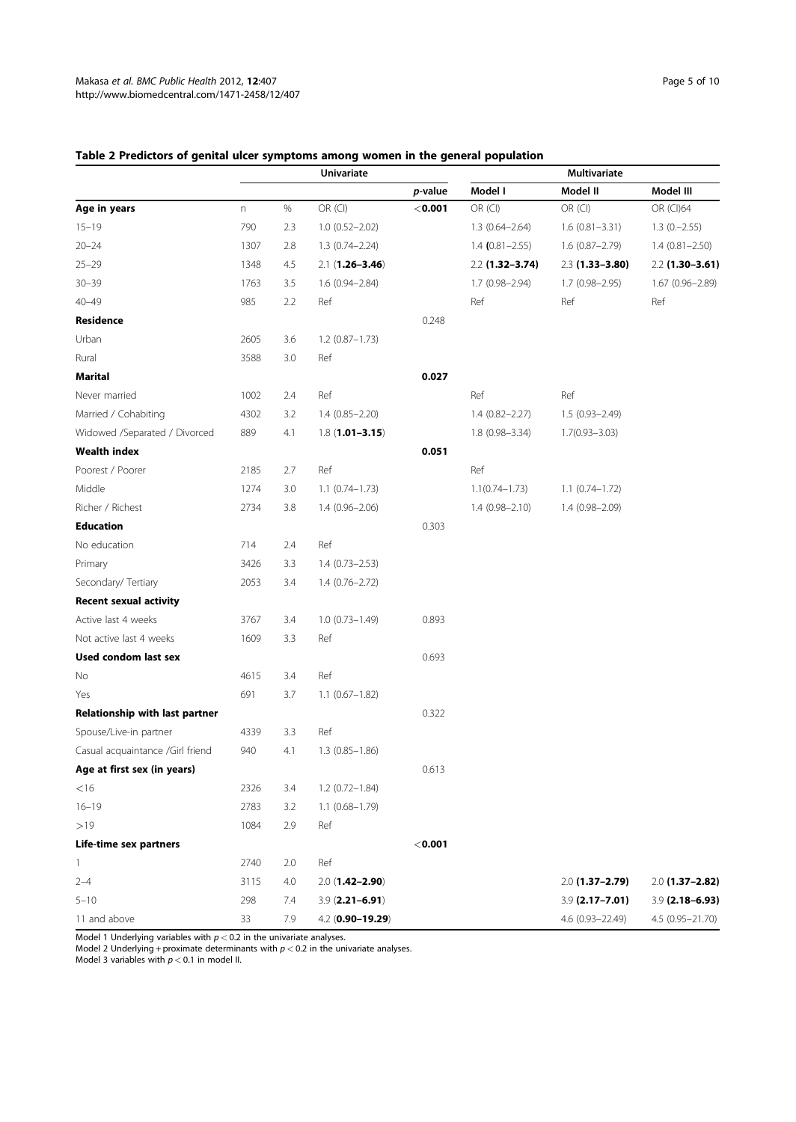# Table 2 Predictors of genital ulcer symptoms among women in the general population

|                                  | <b>Univariate</b> |      |                       | <b>Multivariate</b> |                    |                    |                    |
|----------------------------------|-------------------|------|-----------------------|---------------------|--------------------|--------------------|--------------------|
|                                  |                   |      |                       | p-value             | Model I            | Model II           | Model III          |
| Age in years                     | n                 | $\%$ | OR (CI)               | $<$ 0.001           | OR (CI)            | OR (CI)            | OR (CI)64          |
| $15 - 19$                        | 790               | 2.3  | $1.0(0.52 - 2.02)$    |                     | 1.3 (0.64-2.64)    | $1.6(0.81 - 3.31)$ | $1.3(0,-2.55)$     |
| $20 - 24$                        | 1307              | 2.8  | 1.3 (0.74-2.24)       |                     | $1.4$ (0.81-2.55)  | 1.6 (0.87-2.79)    | $1.4(0.81 - 2.50)$ |
| $25 - 29$                        | 1348              | 4.5  | $2.1(1.26 - 3.46)$    |                     | 2.2 (1.32-3.74)    | 2.3 (1.33-3.80)    | $2.2$ (1.30-3.61)  |
| $30 - 39$                        | 1763              | 3.5  | 1.6 (0.94-2.84)       |                     | 1.7 (0.98-2.94)    | 1.7 (0.98-2.95)    | 1.67 (0.96-2.89)   |
| $40 - 49$                        | 985               | 2.2  | Ref                   |                     | Ref                | Ref                | Ref                |
| Residence                        |                   |      |                       | 0.248               |                    |                    |                    |
| Urban                            | 2605              | 3.6  | $1.2$ (0.87-1.73)     |                     |                    |                    |                    |
| Rural                            | 3588              | 3.0  | Ref                   |                     |                    |                    |                    |
| <b>Marital</b>                   |                   |      |                       | 0.027               |                    |                    |                    |
| Never married                    | 1002              | 2.4  | Ref                   |                     | Ref                | Ref                |                    |
| Married / Cohabiting             | 4302              | 3.2  | 1.4 (0.85-2.20)       |                     | 1.4 (0.82-2.27)    | 1.5 (0.93-2.49)    |                    |
| Widowed /Separated / Divorced    | 889               | 4.1  | $1.8(1.01 - 3.15)$    |                     | 1.8 (0.98-3.34)    | $1.7(0.93 - 3.03)$ |                    |
| <b>Wealth index</b>              |                   |      |                       | 0.051               |                    |                    |                    |
| Poorest / Poorer                 | 2185              | 2.7  | Ref                   |                     | Ref                |                    |                    |
| Middle                           | 1274              | 3.0  | $1.1$ $(0.74 - 1.73)$ |                     | $1.1(0.74 - 1.73)$ | $1.1(0.74 - 1.72)$ |                    |
| Richer / Richest                 | 2734              | 3.8  | 1.4 (0.96-2.06)       |                     | $1.4(0.98 - 2.10)$ | 1.4 (0.98-2.09)    |                    |
| <b>Education</b>                 |                   |      |                       | 0.303               |                    |                    |                    |
| No education                     | 714               | 2.4  | Ref                   |                     |                    |                    |                    |
| Primary                          | 3426              | 3.3  | $1.4(0.73 - 2.53)$    |                     |                    |                    |                    |
| Secondary/ Tertiary              | 2053              | 3.4  | $1.4(0.76 - 2.72)$    |                     |                    |                    |                    |
| <b>Recent sexual activity</b>    |                   |      |                       |                     |                    |                    |                    |
| Active last 4 weeks              | 3767              | 3.4  | $1.0(0.73 - 1.49)$    | 0.893               |                    |                    |                    |
| Not active last 4 weeks          | 1609              | 3.3  | Ref                   |                     |                    |                    |                    |
| <b>Used condom last sex</b>      |                   |      |                       | 0.693               |                    |                    |                    |
| No.                              | 4615              | 3.4  | Ref                   |                     |                    |                    |                    |
| Yes                              | 691               | 3.7  | $1.1$ (0.67-1.82)     |                     |                    |                    |                    |
| Relationship with last partner   |                   |      |                       | 0.322               |                    |                    |                    |
| Spouse/Live-in partner           | 4339              | 3.3  | Ref                   |                     |                    |                    |                    |
| Casual acquaintance /Girl friend | 940               | 4.1  | $1.3(0.85 - 1.86)$    |                     |                    |                    |                    |
| Age at first sex (in years)      |                   |      |                       | 0.613               |                    |                    |                    |
| $<$ 16                           | 2326              | 3.4  | $1.2(0.72 - 1.84)$    |                     |                    |                    |                    |
| $16 - 19$                        | 2783              | 3.2  | $1.1(0.68 - 1.79)$    |                     |                    |                    |                    |
| >19                              | 1084              | 2.9  | Ref                   |                     |                    |                    |                    |
| Life-time sex partners           |                   |      |                       | $<$ 0.001           |                    |                    |                    |
| 1                                | 2740              | 2.0  | Ref                   |                     |                    |                    |                    |
| $2 - 4$                          | 3115              | 4.0  | $2.0(1.42 - 2.90)$    |                     |                    | $2.0$ (1.37-2.79)  | $2.0$ (1.37-2.82)  |
| $5 - 10$                         | 298               | 7.4  | $3.9$ (2.21-6.91)     |                     |                    | $3.9$ (2.17-7.01)  | $3.9$ (2.18-6.93)  |
| 11 and above                     | 33                | 7.9  | 4.2 (0.90-19.29)      |                     |                    | 4.6 (0.93-22.49)   | 4.5 (0.95-21.70)   |

Model 1 Underlying variables with p < 0.2 in the univariate analyses. Model 2 Underlying + proximate determinants with p < 0.2 in the univariate analyses.

Model 3 variables with  $p < 0.1$  in model II.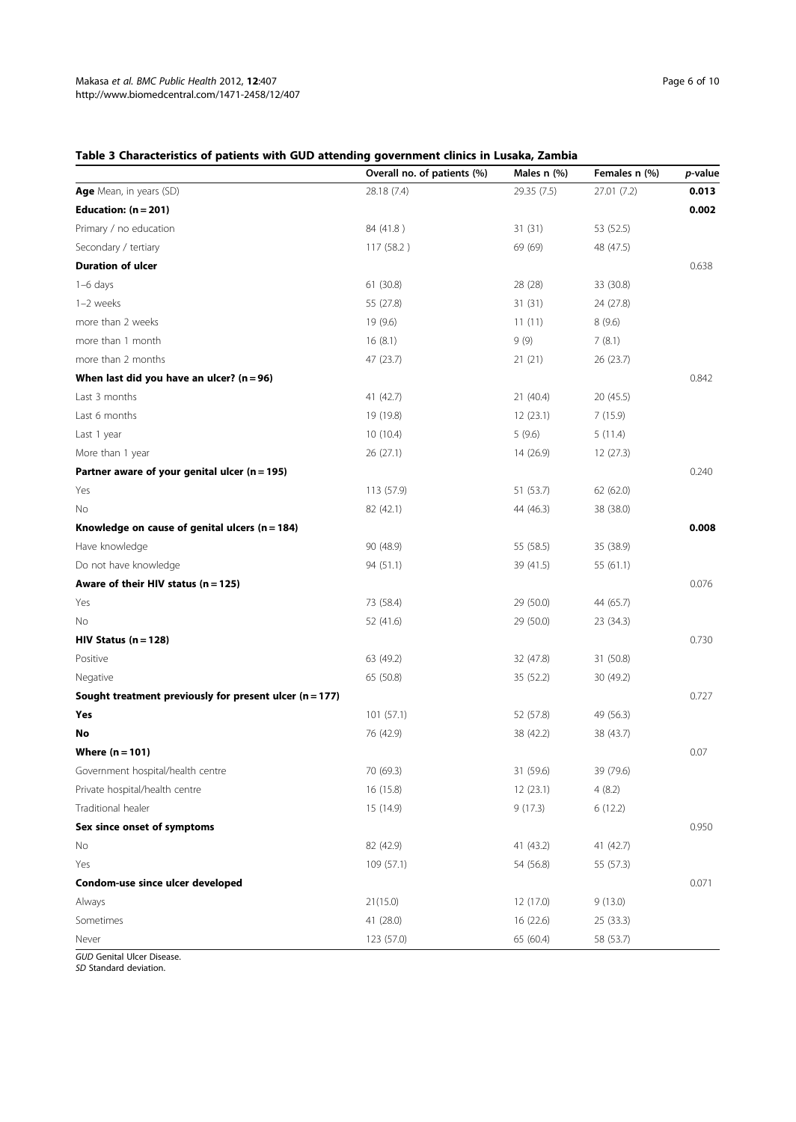# Table 3 Characteristics of patients with GUD attending government clinics in Lusaka, Zambia

|                                                         | Overall no. of patients (%) | Males n (%) | Females n (%) | p-value |
|---------------------------------------------------------|-----------------------------|-------------|---------------|---------|
| Age Mean, in years (SD)                                 | 28.18 (7.4)                 | 29.35 (7.5) | 27.01 (7.2)   | 0.013   |
| Education: $(n = 201)$                                  |                             |             |               | 0.002   |
| Primary / no education                                  | 84 (41.8)                   | 31(31)      | 53 (52.5)     |         |
| Secondary / tertiary                                    | 117 (58.2)                  | 69 (69)     | 48 (47.5)     |         |
| <b>Duration of ulcer</b>                                |                             |             |               | 0.638   |
| $1-6$ days                                              | 61 (30.8)                   | 28 (28)     | 33 (30.8)     |         |
| 1-2 weeks                                               | 55 (27.8)                   | 31(31)      | 24 (27.8)     |         |
| more than 2 weeks                                       | 19 (9.6)                    | 11(11)      | 8(9.6)        |         |
| more than 1 month                                       | 16(8.1)                     | 9(9)        | 7(8.1)        |         |
| more than 2 months                                      | 47 (23.7)                   | 21(21)      | 26 (23.7)     |         |
| When last did you have an ulcer? $(n = 96)$             |                             |             |               | 0.842   |
| Last 3 months                                           | 41 (42.7)                   | 21 (40.4)   | 20 (45.5)     |         |
| Last 6 months                                           | 19 (19.8)                   | 12(23.1)    | 7(15.9)       |         |
| Last 1 year                                             | 10 (10.4)                   | 5(9.6)      | 5(11.4)       |         |
| More than 1 year                                        | 26 (27.1)                   | 14 (26.9)   | 12 (27.3)     |         |
| Partner aware of your genital ulcer ( $n = 195$ )       |                             |             |               | 0.240   |
| Yes                                                     | 113 (57.9)                  | 51 (53.7)   | 62 (62.0)     |         |
| No                                                      | 82 (42.1)                   | 44 (46.3)   | 38 (38.0)     |         |
| Knowledge on cause of genital ulcers ( $n = 184$ )      |                             |             |               | 0.008   |
| Have knowledge                                          | 90 (48.9)                   | 55 (58.5)   | 35 (38.9)     |         |
| Do not have knowledge                                   | 94 (51.1)                   | 39 (41.5)   | 55 (61.1)     |         |
| Aware of their HIV status (n = 125)                     |                             |             |               | 0.076   |
| Yes                                                     | 73 (58.4)                   | 29 (50.0)   | 44 (65.7)     |         |
| No                                                      | 52 (41.6)                   | 29 (50.0)   | 23 (34.3)     |         |
| $HIV$ Status (n = 128)                                  |                             |             |               | 0.730   |
| Positive                                                | 63 (49.2)                   | 32 (47.8)   | 31 (50.8)     |         |
| Negative                                                | 65 (50.8)                   | 35 (52.2)   | 30 (49.2)     |         |
| Sought treatment previously for present ulcer (n = 177) |                             |             |               | 0.727   |
| Yes                                                     | 101 (57.1)                  | 52 (57.8)   | 49 (56.3)     |         |
| No                                                      | 76 (42.9)                   | 38 (42.2)   | 38 (43.7)     |         |
| Where $(n = 101)$                                       |                             |             |               | 0.07    |
| Government hospital/health centre                       | 70 (69.3)                   | 31 (59.6)   | 39 (79.6)     |         |
| Private hospital/health centre                          | 16 (15.8)                   | 12 (23.1)   | 4(8.2)        |         |
| Traditional healer                                      | 15 (14.9)                   | 9(17.3)     | 6(12.2)       |         |
| Sex since onset of symptoms                             |                             |             |               | 0.950   |
| No                                                      | 82 (42.9)                   | 41 (43.2)   | 41 (42.7)     |         |
| Yes                                                     | 109 (57.1)                  | 54 (56.8)   | 55 (57.3)     |         |
| Condom-use since ulcer developed                        |                             |             |               | 0.071   |
| Always                                                  | 21(15.0)                    | 12 (17.0)   | 9(13.0)       |         |
| Sometimes                                               |                             |             |               |         |
|                                                         | 41 (28.0)                   | 16 (22.6)   | 25 (33.3)     |         |

SD Standard deviation.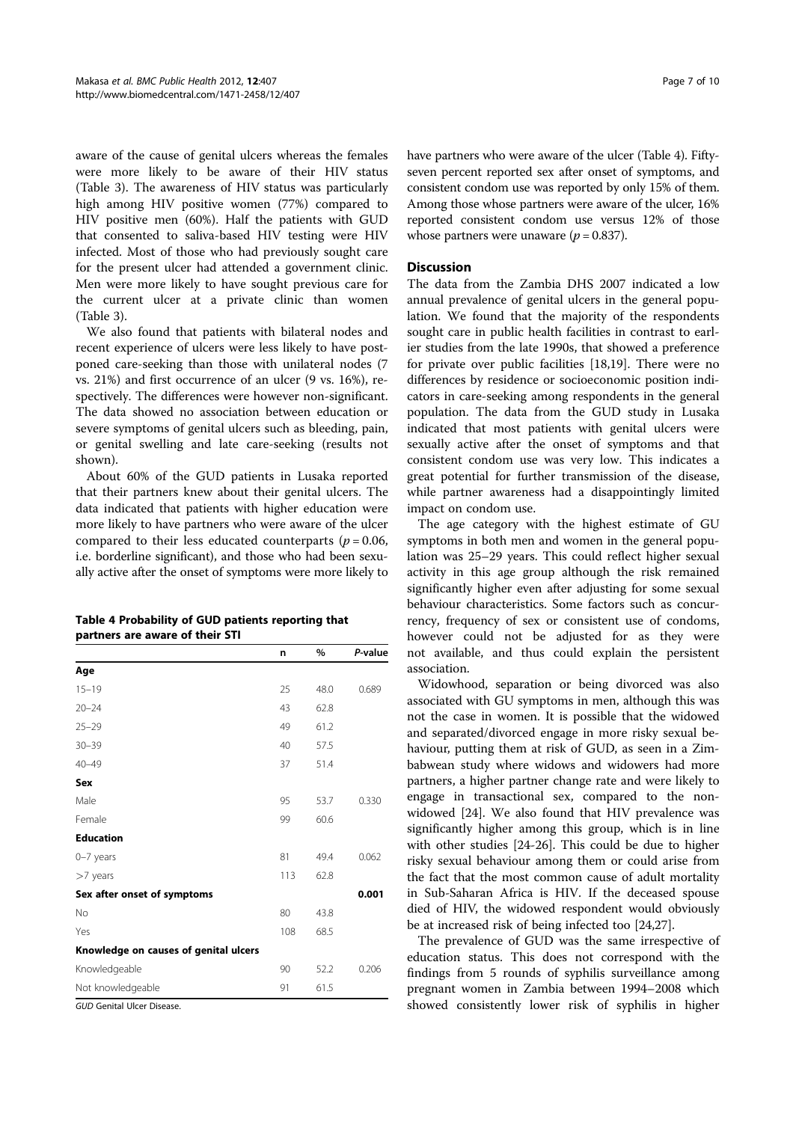aware of the cause of genital ulcers whereas the females were more likely to be aware of their HIV status (Table 3). The awareness of HIV status was particularly high among HIV positive women (77%) compared to HIV positive men (60%). Half the patients with GUD that consented to saliva-based HIV testing were HIV infected. Most of those who had previously sought care for the present ulcer had attended a government clinic. Men were more likely to have sought previous care for the current ulcer at a private clinic than women (Table 3).

We also found that patients with bilateral nodes and recent experience of ulcers were less likely to have postponed care-seeking than those with unilateral nodes (7 vs. 21%) and first occurrence of an ulcer (9 vs. 16%), respectively. The differences were however non-significant. The data showed no association between education or severe symptoms of genital ulcers such as bleeding, pain, or genital swelling and late care-seeking (results not shown).

About 60% of the GUD patients in Lusaka reported that their partners knew about their genital ulcers. The data indicated that patients with higher education were more likely to have partners who were aware of the ulcer compared to their less educated counterparts ( $p = 0.06$ , i.e. borderline significant), and those who had been sexually active after the onset of symptoms were more likely to

| Table 4 Probability of GUD patients reporting that |  |
|----------------------------------------------------|--|
| partners are aware of their STI                    |  |

|                                       | n   | %    | P-value |
|---------------------------------------|-----|------|---------|
| Age                                   |     |      |         |
| $15 - 19$                             | 25  | 48.0 | 0.689   |
| $20 - 24$                             | 43  | 62.8 |         |
| $25 - 29$                             | 49  | 61.2 |         |
| $30 - 39$                             | 40  | 57.5 |         |
| $40 - 49$                             | 37  | 51.4 |         |
| Sex                                   |     |      |         |
| Male                                  | 95  | 53.7 | 0.330   |
| Female                                | 99  | 60.6 |         |
| <b>Education</b>                      |     |      |         |
| $0 - 7$ years                         | 81  | 49.4 | 0.062   |
| >7 years                              | 113 | 62.8 |         |
| Sex after onset of symptoms           |     |      | 0.001   |
| No                                    | 80  | 43.8 |         |
| Yes                                   | 108 | 68.5 |         |
| Knowledge on causes of genital ulcers |     |      |         |
| Knowledgeable                         | 90  | 52.2 | 0.206   |
| Not knowledgeable                     | 91  | 61.5 |         |
| GUD Genital Ulcer Disease.            |     |      |         |

have partners who were aware of the ulcer (Table 4). Fiftyseven percent reported sex after onset of symptoms, and consistent condom use was reported by only 15% of them. Among those whose partners were aware of the ulcer, 16% reported consistent condom use versus 12% of those whose partners were unaware  $(p = 0.837)$ .

### Discussion

The data from the Zambia DHS 2007 indicated a low annual prevalence of genital ulcers in the general population. We found that the majority of the respondents sought care in public health facilities in contrast to earlier studies from the late 1990s, that showed a preference for private over public facilities [18,19]. There were no differences by residence or socioeconomic position indicators in care-seeking among respondents in the general population. The data from the GUD study in Lusaka indicated that most patients with genital ulcers were sexually active after the onset of symptoms and that consistent condom use was very low. This indicates a great potential for further transmission of the disease, while partner awareness had a disappointingly limited impact on condom use.

The age category with the highest estimate of GU symptoms in both men and women in the general population was 25–29 years. This could reflect higher sexual activity in this age group although the risk remained significantly higher even after adjusting for some sexual behaviour characteristics. Some factors such as concurrency, frequency of sex or consistent use of condoms, however could not be adjusted for as they were not available, and thus could explain the persistent association.

Widowhood, separation or being divorced was also associated with GU symptoms in men, although this was not the case in women. It is possible that the widowed and separated/divorced engage in more risky sexual behaviour, putting them at risk of GUD, as seen in a Zimbabwean study where widows and widowers had more partners, a higher partner change rate and were likely to engage in transactional sex, compared to the nonwidowed [24]. We also found that HIV prevalence was significantly higher among this group, which is in line with other studies [24-26]. This could be due to higher risky sexual behaviour among them or could arise from the fact that the most common cause of adult mortality in Sub-Saharan Africa is HIV. If the deceased spouse died of HIV, the widowed respondent would obviously be at increased risk of being infected too [24,27].

The prevalence of GUD was the same irrespective of education status. This does not correspond with the findings from 5 rounds of syphilis surveillance among pregnant women in Zambia between 1994–2008 which showed consistently lower risk of syphilis in higher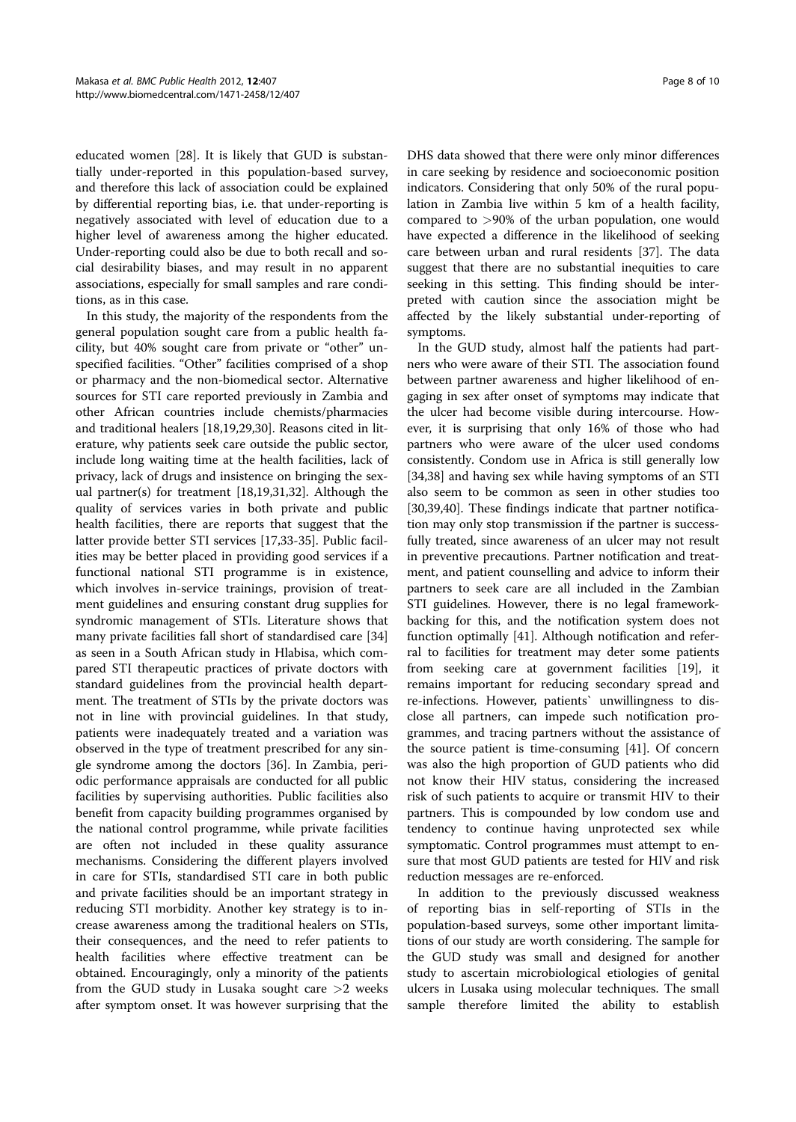educated women [28]. It is likely that GUD is substantially under-reported in this population-based survey, and therefore this lack of association could be explained by differential reporting bias, i.e. that under-reporting is negatively associated with level of education due to a higher level of awareness among the higher educated. Under-reporting could also be due to both recall and social desirability biases, and may result in no apparent associations, especially for small samples and rare conditions, as in this case.

In this study, the majority of the respondents from the general population sought care from a public health facility, but 40% sought care from private or "other" unspecified facilities. "Other" facilities comprised of a shop or pharmacy and the non-biomedical sector. Alternative sources for STI care reported previously in Zambia and other African countries include chemists/pharmacies and traditional healers [18,19,29,30]. Reasons cited in literature, why patients seek care outside the public sector, include long waiting time at the health facilities, lack of privacy, lack of drugs and insistence on bringing the sexual partner(s) for treatment [18,19,31,32]. Although the quality of services varies in both private and public health facilities, there are reports that suggest that the latter provide better STI services [17,33-35]. Public facilities may be better placed in providing good services if a functional national STI programme is in existence, which involves in-service trainings, provision of treatment guidelines and ensuring constant drug supplies for syndromic management of STIs. Literature shows that many private facilities fall short of standardised care [34] as seen in a South African study in Hlabisa, which compared STI therapeutic practices of private doctors with standard guidelines from the provincial health department. The treatment of STIs by the private doctors was not in line with provincial guidelines. In that study, patients were inadequately treated and a variation was observed in the type of treatment prescribed for any single syndrome among the doctors [36]. In Zambia, periodic performance appraisals are conducted for all public facilities by supervising authorities. Public facilities also benefit from capacity building programmes organised by the national control programme, while private facilities are often not included in these quality assurance mechanisms. Considering the different players involved in care for STIs, standardised STI care in both public and private facilities should be an important strategy in reducing STI morbidity. Another key strategy is to increase awareness among the traditional healers on STIs, their consequences, and the need to refer patients to health facilities where effective treatment can be obtained. Encouragingly, only a minority of the patients from the GUD study in Lusaka sought care  $>2$  weeks after symptom onset. It was however surprising that the

DHS data showed that there were only minor differences in care seeking by residence and socioeconomic position indicators. Considering that only 50% of the rural population in Zambia live within 5 km of a health facility, compared to >90% of the urban population, one would have expected a difference in the likelihood of seeking care between urban and rural residents [37]. The data suggest that there are no substantial inequities to care seeking in this setting. This finding should be interpreted with caution since the association might be affected by the likely substantial under-reporting of symptoms.

In the GUD study, almost half the patients had partners who were aware of their STI. The association found between partner awareness and higher likelihood of engaging in sex after onset of symptoms may indicate that the ulcer had become visible during intercourse. However, it is surprising that only 16% of those who had partners who were aware of the ulcer used condoms consistently. Condom use in Africa is still generally low [34,38] and having sex while having symptoms of an STI also seem to be common as seen in other studies too [30,39,40]. These findings indicate that partner notification may only stop transmission if the partner is successfully treated, since awareness of an ulcer may not result in preventive precautions. Partner notification and treatment, and patient counselling and advice to inform their partners to seek care are all included in the Zambian STI guidelines. However, there is no legal frameworkbacking for this, and the notification system does not function optimally [41]. Although notification and referral to facilities for treatment may deter some patients from seeking care at government facilities [19], it remains important for reducing secondary spread and re-infections. However, patients` unwillingness to disclose all partners, can impede such notification programmes, and tracing partners without the assistance of the source patient is time-consuming [41]. Of concern was also the high proportion of GUD patients who did not know their HIV status, considering the increased risk of such patients to acquire or transmit HIV to their partners. This is compounded by low condom use and tendency to continue having unprotected sex while symptomatic. Control programmes must attempt to ensure that most GUD patients are tested for HIV and risk reduction messages are re-enforced.

In addition to the previously discussed weakness of reporting bias in self-reporting of STIs in the population-based surveys, some other important limitations of our study are worth considering. The sample for the GUD study was small and designed for another study to ascertain microbiological etiologies of genital ulcers in Lusaka using molecular techniques. The small sample therefore limited the ability to establish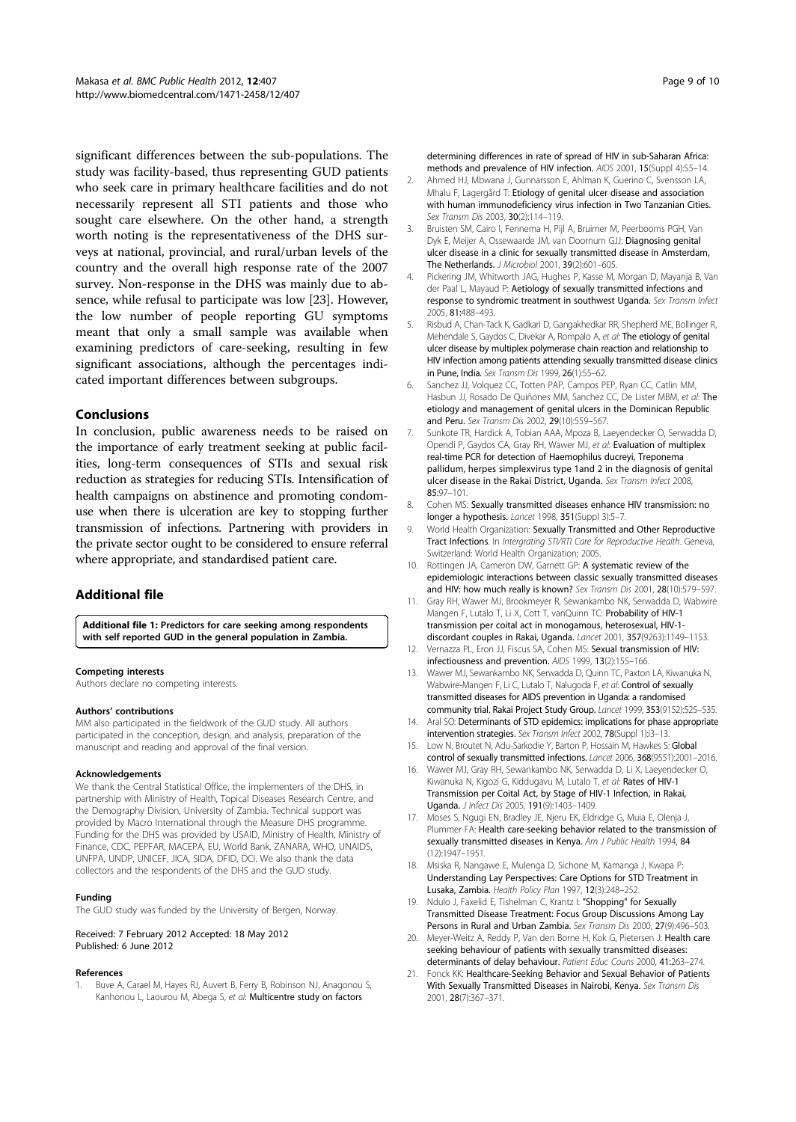significant differences between the sub-populations. The study was facility-based, thus representing GUD patients who seek care in primary healthcare facilities and do not necessarily represent all STI patients and those who sought care elsewhere. On the other hand, a strength worth noting is the representativeness of the DHS surveys at national, provincial, and rural/urban levels of the country and the overall high response rate of the 2007 survey. Non-response in the DHS was mainly due to absence, while refusal to participate was low [23]. However, the low number of people reporting GU symptoms meant that only a small sample was available when examining predictors of care-seeking, resulting in few significant associations, although the percentages indicated important differences between subgroups.

### Conclusions

In conclusion, public awareness needs to be raised on the importance of early treatment seeking at public facilities, long-term consequences of STIs and sexual risk reduction as strategies for reducing STIs. Intensification of health campaigns on abstinence and promoting condomuse when there is ulceration are key to stopping further transmission of infections. Partnering with providers in the private sector ought to be considered to ensure referral where appropriate, and standardised patient care.

## Additional file

Additional file 1: Predictors for care seeking among respondents with self reported GUD in the general population in Zambia.

#### Competing interests

Authors declare no competing interests.

#### Authors' contributions

MM also participated in the fieldwork of the GUD study. All authors participated in the conception, design, and analysis, preparation of the manuscript and reading and approval of the final version.

#### Acknowledgements

We thank the Central Statistical Office, the implementers of the DHS, in partnership with Ministry of Health, Topical Diseases Research Centre, and the Demography Division, University of Zambia. Technical support was provided by Macro International through the Measure DHS programme. Funding for the DHS was provided by USAID, Ministry of Health, Ministry of Finance, CDC, PEPFAR, MACEPA, EU, World Bank, ZANARA, WHO, UNAIDS, UNFPA, UNDP, UNICEF, JICA, SIDA, DFID, DCI. We also thank the data collectors and the respondents of the DHS and the GUD study.

#### Funding

The GUD study was funded by the University of Bergen, Norway.

#### Received: 7 February 2012 Accepted: 18 May 2012 Published: 6 June 2012

#### References

Buve A, Carael M, Hayes RJ, Auvert B, Ferry B, Robinson NJ, Anagonou S, Kanhonou L, Laourou M, Abega S, et al: Multicentre study on factors

- 2. Ahmed HJ, Mbwana J, Gunnarsson E, Ahlman K, Guerino C, Svensson LA, Mhalu F, Lagergård T: Etiology of genital ulcer disease and association with human immunodeficiency virus infection in Two Tanzanian Cities. Sex Transm Dis 2003, 30(2):114–119.
- 3. Bruisten SM, Cairo I, Fennema H, Pijl A, Bruimer M, Peerbooms PGH, Van Dyk E, Meijer A, Ossewaarde JM, van Doornum GJJ: Diagnosing genital ulcer disease in a clinic for sexually transmitted disease in Amsterdam, The Netherlands. J Microbiol 2001, 39(2):601–605.
- 4. Pickering JM, Whitworth JAG, Hughes P, Kasse M, Morgan D, Mayanja B, Van der Paal L, Mayaud P: Aetiology of sexually transmitted infections and response to syndromic treatment in southwest Uganda. Sex Transm Infect 2005, 81:488–493.
- 5. Risbud A, Chan-Tack K, Gadkari D, Gangakhedkar RR, Shepherd ME, Bollinger R, Mehendale S, Gaydos C, Divekar A, Rompalo A, et al: The etiology of genital ulcer disease by multiplex polymerase chain reaction and relationship to HIV infection among patients attending sexually transmitted disease clinics in Pune, India. Sex Transm Dis 1999, 26(1):55–62.
- Sanchez JJ, Volquez CC, Totten PAP, Campos PEP, Ryan CC, Catlin MM, Hasbun JJ, Rosado De Quiñones MM, Sanchez CC, De Lister MBM, et al: The etiology and management of genital ulcers in the Dominican Republic and Peru. Sex Transm Dis 2002, 29(10):559–567.
- 7. Sunkote TR, Hardick A, Tobian AAA, Mpoza B, Laeyendecker O, Serwadda D, Opendi P, Gaydos CA, Gray RH, Wawer MJ, et al: Evaluation of multiplex real-time PCR for detection of Haemophilus ducreyi, Treponema pallidum, herpes simplexvirus type 1and 2 in the diagnosis of genital ulcer disease in the Rakai District, Uganda. Sex Transm Infect 2008, 85:97–101.
- Cohen MS: Sexually transmitted diseases enhance HIV transmission: no longer a hypothesis. Lancet 1998, 351(Suppl 3):5–7.
- 9. World Health Organization: Sexually Transmitted and Other Reproductive Tract Infections. In Intergrating STI/RTI Care for Reproductive Health. Geneva, Switzerland: World Health Organization; 2005.
- 10. Rottingen JA, Cameron DW, Garnett GP: A systematic review of the epidemiologic interactions between classic sexually transmitted diseases and HIV: how much really is known? Sex Transm Dis 2001, 28(10):579-597.
- 11. Gray RH, Wawer MJ, Brookmeyer R, Sewankambo NK, Serwadda D, Wabwire Mangen F, Lutalo T, Li X, Cott T, vanQuinn TC: Probability of HIV-1 transmission per coital act in monogamous, heterosexual, HIV-1 discordant couples in Rakai, Uganda. Lancet 2001, 357(9263):1149–1153.
- 12. Vernazza PL, Eron JJ, Fiscus SA, Cohen MS: Sexual transmission of HIV: infectiousness and prevention. AIDS 1999, 13(2):155–166.
- 13. Wawer MJ, Sewankambo NK, Serwadda D, Quinn TC, Paxton LA, Kiwanuka N, Wabwire-Mangen F, Li C, Lutalo T, Nalugoda F, et al: Control of sexually transmitted diseases for AIDS prevention in Uganda: a randomised community trial. Rakai Project Study Group. Lancet 1999, 353(9152):525–535.
- 14. Aral SO: Determinants of STD epidemics: implications for phase appropriate intervention strategies. Sex Transm Infect 2002, 78(Suppl 1):i3–13.
- 15. Low N, Broutet N, Adu-Sarkodie Y, Barton P, Hossain M, Hawkes S: Global control of sexually transmitted infections. Lancet 2006, 368(9551):2001–2016.
- 16. Wawer MJ, Gray RH, Sewankambo NK, Serwadda D, Li X, Laeyendecker O, Kiwanuka N, Kigozi G, Kiddugavu M, Lutalo T, et al: Rates of HIV-1 Transmission per Coital Act, by Stage of HIV-1 Infection, in Rakai, Uganda. J Infect Dis 2005, 191(9):1403–1409.
- 17. Moses S, Ngugi EN, Bradley JE, Njeru EK, Eldridge G, Muia E, Olenja J, Plummer FA: Health care-seeking behavior related to the transmission of sexually transmitted diseases in Kenya. Am J Public Health 1994, 84 (12):1947–1951.
- 18. Msiska R, Nangawe E, Mulenga D, Sichone M, Kamanga J, Kwapa P: Understanding Lay Perspectives: Care Options for STD Treatment in Lusaka, Zambia. Health Policy Plan 1997, 12(3):248–252.
- 19. Ndulo J, Faxelid E, Tishelman C, Krantz I: "Shopping" for Sexually Transmitted Disease Treatment: Focus Group Discussions Among Lay Persons in Rural and Urban Zambia. Sex Transm Dis 2000, 27(9):496–503.
- 20. Meyer-Weitz A, Reddy P, Van den Borne H, Kok G, Pietersen J: Health care seeking behaviour of patients with sexually transmitted diseases: determinants of delay behaviour. Patient Educ Couns 2000, 41:263–274.
- 21. Fonck KK: Healthcare-Seeking Behavior and Sexual Behavior of Patients With Sexually Transmitted Diseases in Nairobi, Kenya. Sex Transm Dis 2001, 28(7):367–371.